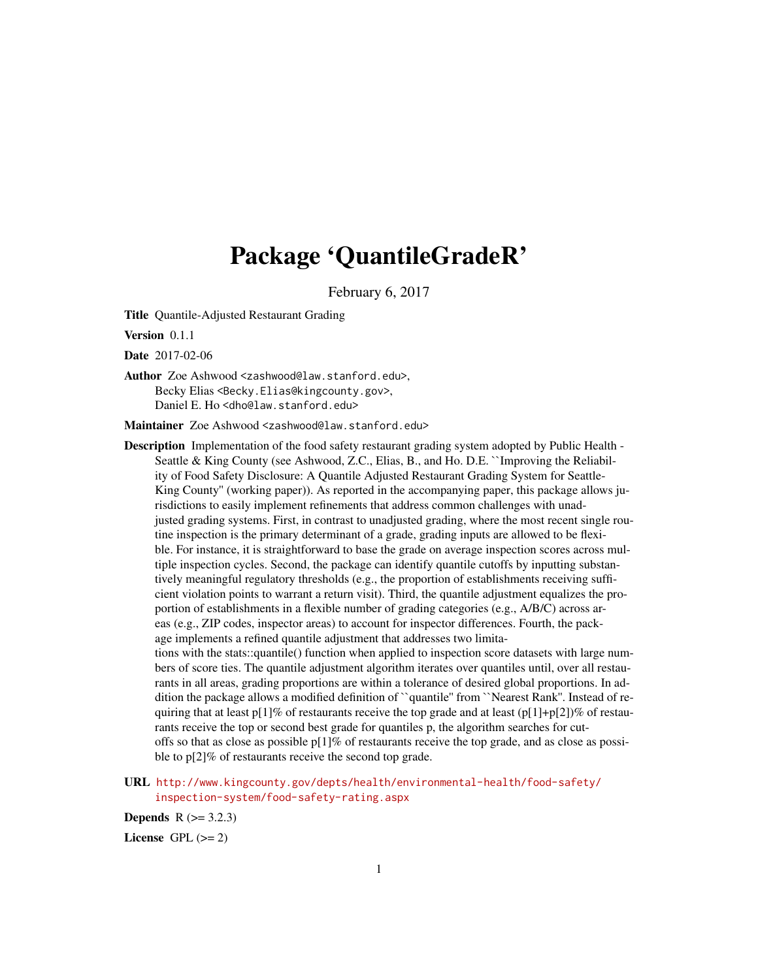# Package 'QuantileGradeR'

February 6, 2017

Title Quantile-Adjusted Restaurant Grading

Version 0.1.1

Date 2017-02-06

Author Zoe Ashwood <zashwood@law.stanford.edu>, Becky Elias <Becky.Elias@kingcounty.gov>, Daniel E. Ho <dho@law.stanford.edu>

Maintainer Zoe Ashwood <zashwood@law.stanford.edu>

- Description Implementation of the food safety restaurant grading system adopted by Public Health Seattle & King County (see Ashwood, Z.C., Elias, B., and Ho. D.E. ``Improving the Reliability of Food Safety Disclosure: A Quantile Adjusted Restaurant Grading System for Seattle-King County'' (working paper)). As reported in the accompanying paper, this package allows jurisdictions to easily implement refinements that address common challenges with unadjusted grading systems. First, in contrast to unadjusted grading, where the most recent single routine inspection is the primary determinant of a grade, grading inputs are allowed to be flexible. For instance, it is straightforward to base the grade on average inspection scores across multiple inspection cycles. Second, the package can identify quantile cutoffs by inputting substantively meaningful regulatory thresholds (e.g., the proportion of establishments receiving sufficient violation points to warrant a return visit). Third, the quantile adjustment equalizes the proportion of establishments in a flexible number of grading categories (e.g., A/B/C) across areas (e.g., ZIP codes, inspector areas) to account for inspector differences. Fourth, the package implements a refined quantile adjustment that addresses two limitations with the stats::quantile() function when applied to inspection score datasets with large numbers of score ties. The quantile adjustment algorithm iterates over quantiles until, over all restaurants in all areas, grading proportions are within a tolerance of desired global proportions. In addition the package allows a modified definition of ``quantile'' from ``Nearest Rank''. Instead of requiring that at least p[1]% of restaurants receive the top grade and at least (p[1]+p[2])% of restaurants receive the top or second best grade for quantiles p, the algorithm searches for cutoffs so that as close as possible  $p[1]\%$  of restaurants receive the top grade, and as close as possible to p[2]% of restaurants receive the second top grade.
- URL [http://www.kingcounty.gov/depts/health/environmental-health/food-safety/](http://www.kingcounty.gov/depts/health/environmental-health/food-safety/inspection-system/food-safety-rating.aspx) [inspection-system/food-safety-rating.aspx](http://www.kingcounty.gov/depts/health/environmental-health/food-safety/inspection-system/food-safety-rating.aspx)

**Depends**  $R (= 3.2.3)$ 

License GPL  $(>= 2)$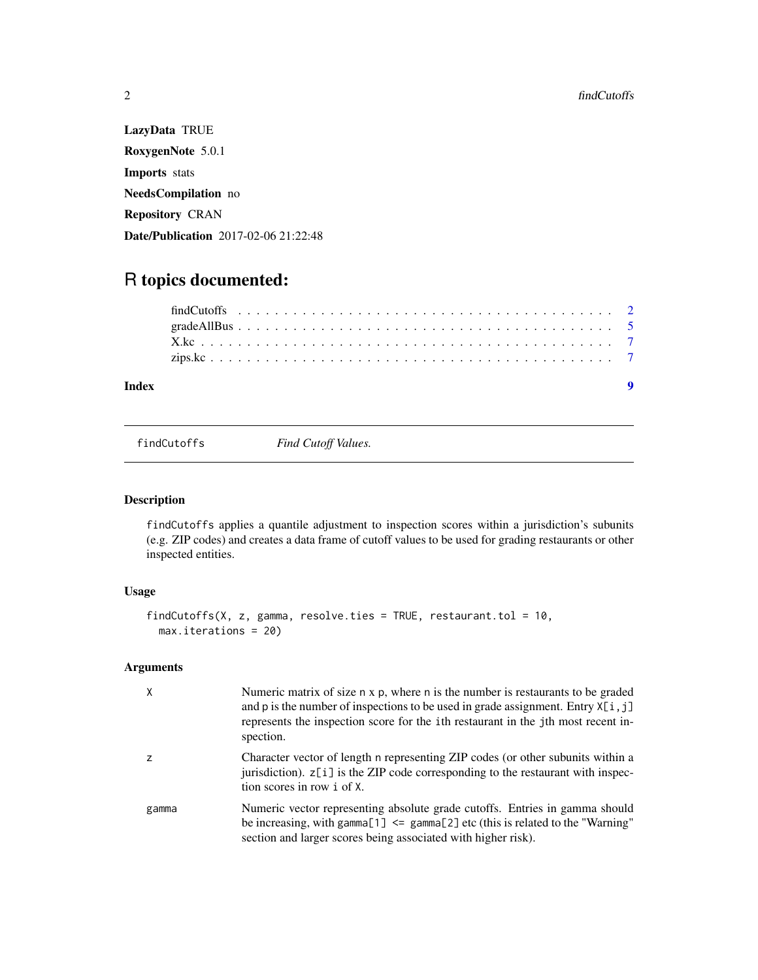LazyData TRUE RoxygenNote 5.0.1 Imports stats NeedsCompilation no Repository CRAN Date/Publication 2017-02-06 21:22:48

## R topics documented:

| Index |  |  |  |  |  |  |  |  |  |  |  |  |  |  |  |  |  |  |  |
|-------|--|--|--|--|--|--|--|--|--|--|--|--|--|--|--|--|--|--|--|
|       |  |  |  |  |  |  |  |  |  |  |  |  |  |  |  |  |  |  |  |
|       |  |  |  |  |  |  |  |  |  |  |  |  |  |  |  |  |  |  |  |
|       |  |  |  |  |  |  |  |  |  |  |  |  |  |  |  |  |  |  |  |
|       |  |  |  |  |  |  |  |  |  |  |  |  |  |  |  |  |  |  |  |

findCutoffs *Find Cutoff Values.*

### Description

findCutoffs applies a quantile adjustment to inspection scores within a jurisdiction's subunits (e.g. ZIP codes) and creates a data frame of cutoff values to be used for grading restaurants or other inspected entities.

#### Usage

```
findCutoffs(X, z, gamma, resolve.ties = TRUE, restaurant.tol = 10,
 max.iterations = 20)
```
## Arguments

| X     | Numeric matrix of size n x p, where n is the number is restaurants to be graded<br>and p is the number of inspections to be used in grade assignment. Entry $X[i, j]$<br>represents the inspection score for the 1th restaurant in the 1th most recent in-<br>spection. |
|-------|-------------------------------------------------------------------------------------------------------------------------------------------------------------------------------------------------------------------------------------------------------------------------|
| z     | Character vector of length n representing ZIP codes (or other subunits within a<br>jurisdiction). $z[i]$ is the ZIP code corresponding to the restaurant with inspec-<br>tion scores in row i of X.                                                                     |
| gamma | Numeric vector representing absolute grade cutoffs. Entries in gamma should<br>be increasing, with gamma $[1]$ <= gamma $[2]$ etc (this is related to the "Warning"<br>section and larger scores being associated with higher risk).                                    |

<span id="page-1-0"></span>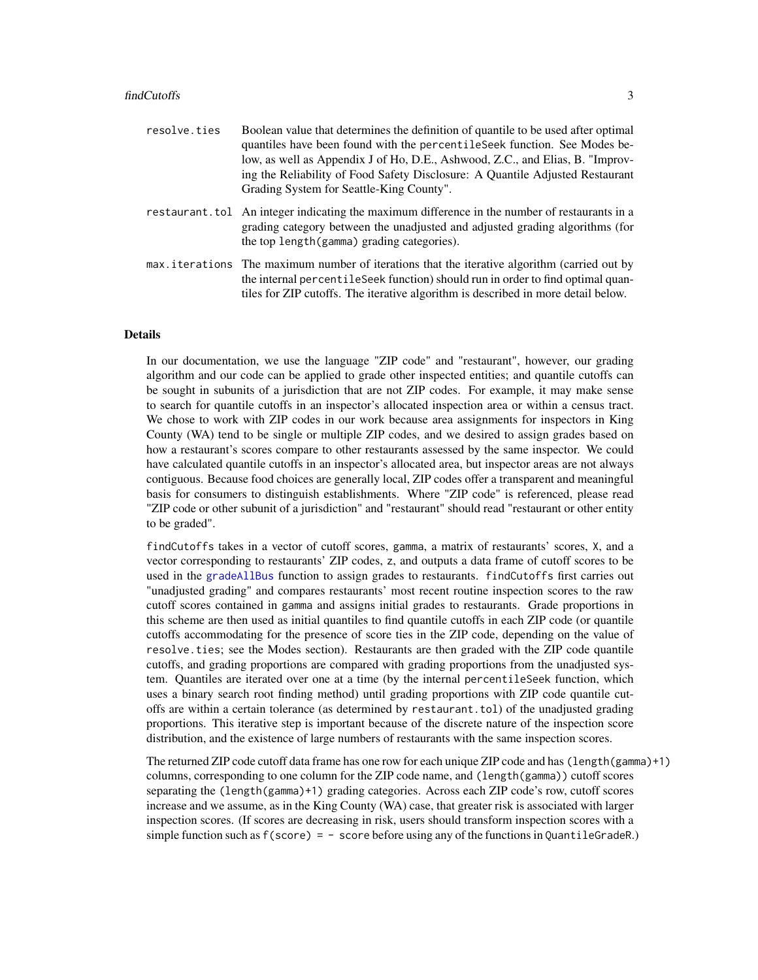#### <span id="page-2-0"></span>findCutoffs 3

| resolve.ties | Boolean value that determines the definition of quantile to be used after optimal<br>quantiles have been found with the percentile Seek function. See Modes be-<br>low, as well as Appendix J of Ho, D.E., Ashwood, Z.C., and Elias, B. "Improv-<br>ing the Reliability of Food Safety Disclosure: A Quantile Adjusted Restaurant<br>Grading System for Seattle-King County". |
|--------------|-------------------------------------------------------------------------------------------------------------------------------------------------------------------------------------------------------------------------------------------------------------------------------------------------------------------------------------------------------------------------------|
|              | restaurant. tol An integer indicating the maximum difference in the number of restaurants in a<br>grading category between the unadjusted and adjusted grading algorithms (for<br>the top length (gamma) grading categories).                                                                                                                                                 |
|              | max iterations The maximum number of iterations that the iterative algorithm (carried out by<br>the internal percentile Seek function should run in order to find optimal quan-<br>tiles for ZIP cutoffs. The iterative algorithm is described in more detail below.                                                                                                          |

#### Details

In our documentation, we use the language "ZIP code" and "restaurant", however, our grading algorithm and our code can be applied to grade other inspected entities; and quantile cutoffs can be sought in subunits of a jurisdiction that are not ZIP codes. For example, it may make sense to search for quantile cutoffs in an inspector's allocated inspection area or within a census tract. We chose to work with ZIP codes in our work because area assignments for inspectors in King County (WA) tend to be single or multiple ZIP codes, and we desired to assign grades based on how a restaurant's scores compare to other restaurants assessed by the same inspector. We could have calculated quantile cutoffs in an inspector's allocated area, but inspector areas are not always contiguous. Because food choices are generally local, ZIP codes offer a transparent and meaningful basis for consumers to distinguish establishments. Where "ZIP code" is referenced, please read "ZIP code or other subunit of a jurisdiction" and "restaurant" should read "restaurant or other entity to be graded".

findCutoffs takes in a vector of cutoff scores, gamma, a matrix of restaurants' scores, X, and a vector corresponding to restaurants' ZIP codes, z, and outputs a data frame of cutoff scores to be used in the [gradeAllBus](#page-4-1) function to assign grades to restaurants. findCutoffs first carries out "unadjusted grading" and compares restaurants' most recent routine inspection scores to the raw cutoff scores contained in gamma and assigns initial grades to restaurants. Grade proportions in this scheme are then used as initial quantiles to find quantile cutoffs in each ZIP code (or quantile cutoffs accommodating for the presence of score ties in the ZIP code, depending on the value of resolve.ties; see the Modes section). Restaurants are then graded with the ZIP code quantile cutoffs, and grading proportions are compared with grading proportions from the unadjusted system. Quantiles are iterated over one at a time (by the internal percentileSeek function, which uses a binary search root finding method) until grading proportions with ZIP code quantile cutoffs are within a certain tolerance (as determined by restaurant.tol) of the unadjusted grading proportions. This iterative step is important because of the discrete nature of the inspection score distribution, and the existence of large numbers of restaurants with the same inspection scores.

The returned ZIP code cutoff data frame has one row for each unique ZIP code and has (length(gamma)+1) columns, corresponding to one column for the ZIP code name, and (length(gamma)) cutoff scores separating the (length(gamma)+1) grading categories. Across each ZIP code's row, cutoff scores increase and we assume, as in the King County (WA) case, that greater risk is associated with larger inspection scores. (If scores are decreasing in risk, users should transform inspection scores with a simple function such as  $f(\text{score}) = -\text{score}$  before using any of the functions in QuantileGradeR.)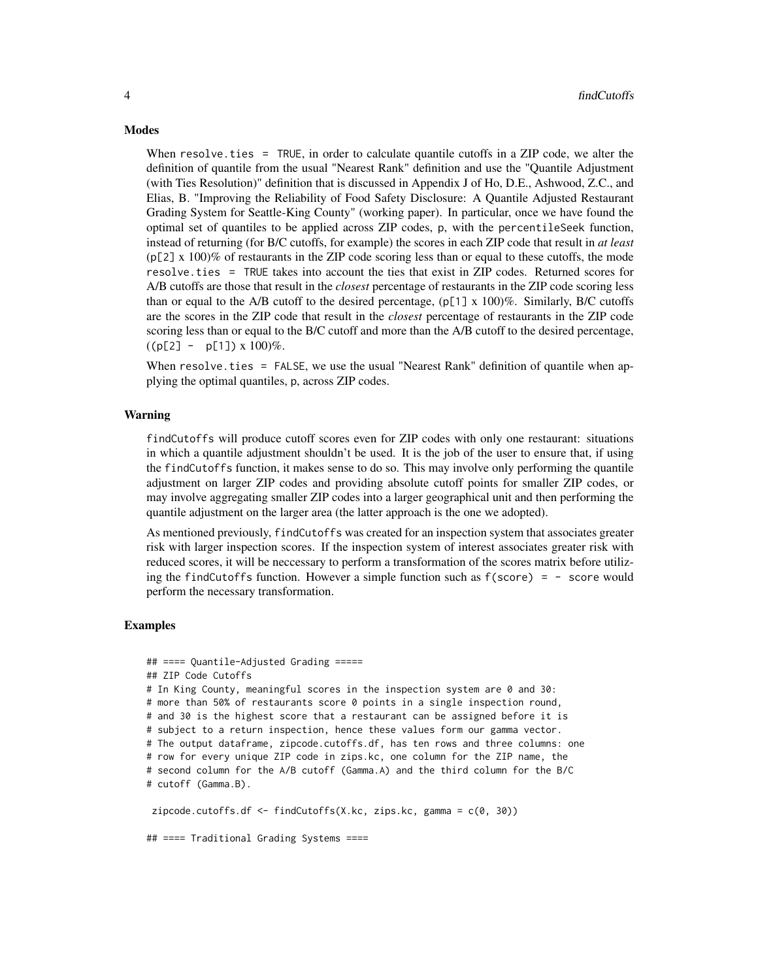#### **Modes**

When resolve.ties = TRUE, in order to calculate quantile cutoffs in a ZIP code, we alter the definition of quantile from the usual "Nearest Rank" definition and use the "Quantile Adjustment (with Ties Resolution)" definition that is discussed in Appendix J of Ho, D.E., Ashwood, Z.C., and Elias, B. "Improving the Reliability of Food Safety Disclosure: A Quantile Adjusted Restaurant Grading System for Seattle-King County" (working paper). In particular, once we have found the optimal set of quantiles to be applied across ZIP codes, p, with the percentileSeek function, instead of returning (for B/C cutoffs, for example) the scores in each ZIP code that result in *at least*  $(p[2] \times 100)\%$  of restaurants in the ZIP code scoring less than or equal to these cutoffs, the mode resolve.ties = TRUE takes into account the ties that exist in ZIP codes. Returned scores for A/B cutoffs are those that result in the *closest* percentage of restaurants in the ZIP code scoring less than or equal to the A/B cutoff to the desired percentage,  $(p[1] \times 100)\%$ . Similarly, B/C cutoffs are the scores in the ZIP code that result in the *closest* percentage of restaurants in the ZIP code scoring less than or equal to the B/C cutoff and more than the A/B cutoff to the desired percentage,  $((p[2] - p[1]) \times 100)\%$ .

When resolve.ties = FALSE, we use the usual "Nearest Rank" definition of quantile when applying the optimal quantiles, p, across ZIP codes.

#### Warning

findCutoffs will produce cutoff scores even for ZIP codes with only one restaurant: situations in which a quantile adjustment shouldn't be used. It is the job of the user to ensure that, if using the findCutoffs function, it makes sense to do so. This may involve only performing the quantile adjustment on larger ZIP codes and providing absolute cutoff points for smaller ZIP codes, or may involve aggregating smaller ZIP codes into a larger geographical unit and then performing the quantile adjustment on the larger area (the latter approach is the one we adopted).

As mentioned previously, findCutoffs was created for an inspection system that associates greater risk with larger inspection scores. If the inspection system of interest associates greater risk with reduced scores, it will be neccessary to perform a transformation of the scores matrix before utilizing the findCutoffs function. However a simple function such as  $f(\text{score}) = -$  score would perform the necessary transformation.

#### Examples

```
## ==== Quantile-Adjusted Grading =====
## ZIP Code Cutoffs
# In King County, meaningful scores in the inspection system are 0 and 30:
# more than 50% of restaurants score 0 points in a single inspection round,
# and 30 is the highest score that a restaurant can be assigned before it is
# subject to a return inspection, hence these values form our gamma vector.
# The output dataframe, zipcode.cutoffs.df, has ten rows and three columns: one
# row for every unique ZIP code in zips.kc, one column for the ZIP name, the
# second column for the A/B cutoff (Gamma.A) and the third column for the B/C
# cutoff (Gamma.B).
zipcode.cutoffs.df <- findCutoffs(X.kc, zips.kc, gamma = c(0, 30))
```
## ==== Traditional Grading Systems ====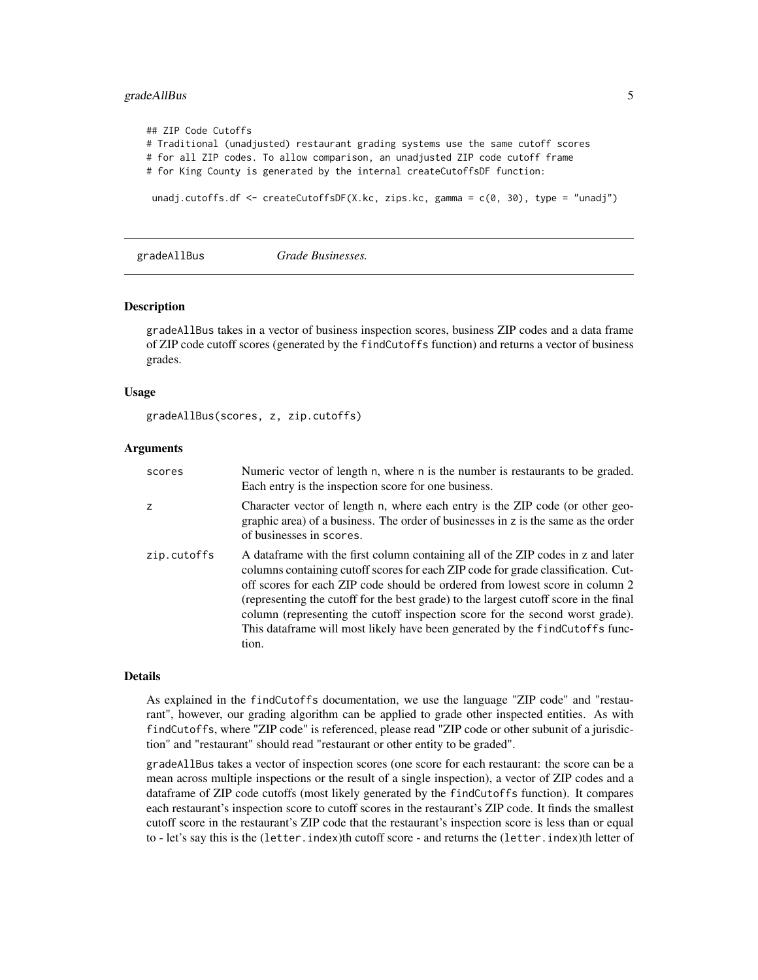#### <span id="page-4-0"></span>gradeAllBus 5

```
## ZIP Code Cutoffs
# Traditional (unadjusted) restaurant grading systems use the same cutoff scores
# for all ZIP codes. To allow comparison, an unadjusted ZIP code cutoff frame
# for King County is generated by the internal createCutoffsDF function:
unadj.cutoffs.df <- createCutoffsDF(X.kc, zips.kc, gamma = c(0, 30), type = "unadj")
```

```
gradeAllBus Grade Businesses.
```
#### Description

gradeAllBus takes in a vector of business inspection scores, business ZIP codes and a data frame of ZIP code cutoff scores (generated by the findCutoffs function) and returns a vector of business grades.

#### Usage

```
gradeAllBus(scores, z, zip.cutoffs)
```
#### Arguments

| scores      | Numeric vector of length n, where n is the number is restaurants to be graded.<br>Each entry is the inspection score for one business.                                                                                                                                                                                                                                                                                                                                                                                    |
|-------------|---------------------------------------------------------------------------------------------------------------------------------------------------------------------------------------------------------------------------------------------------------------------------------------------------------------------------------------------------------------------------------------------------------------------------------------------------------------------------------------------------------------------------|
| Z           | Character vector of length n, where each entry is the ZIP code (or other geo-<br>graphic area) of a business. The order of businesses in z is the same as the order<br>of businesses in scores.                                                                                                                                                                                                                                                                                                                           |
| zip.cutoffs | A data frame with the first column containing all of the ZIP codes in z and later<br>columns containing cutoff scores for each ZIP code for grade classification. Cut-<br>off scores for each ZIP code should be ordered from lowest score in column 2<br>(representing the cutoff for the best grade) to the largest cutoff score in the final<br>column (representing the cutoff inspection score for the second worst grade).<br>This dataframe will most likely have been generated by the findCutoffs func-<br>tion. |

#### Details

As explained in the findCutoffs documentation, we use the language "ZIP code" and "restaurant", however, our grading algorithm can be applied to grade other inspected entities. As with findCutoffs, where "ZIP code" is referenced, please read "ZIP code or other subunit of a jurisdiction" and "restaurant" should read "restaurant or other entity to be graded".

gradeAllBus takes a vector of inspection scores (one score for each restaurant: the score can be a mean across multiple inspections or the result of a single inspection), a vector of ZIP codes and a dataframe of ZIP code cutoffs (most likely generated by the findCutoffs function). It compares each restaurant's inspection score to cutoff scores in the restaurant's ZIP code. It finds the smallest cutoff score in the restaurant's ZIP code that the restaurant's inspection score is less than or equal to - let's say this is the (letter.index)th cutoff score - and returns the (letter.index)th letter of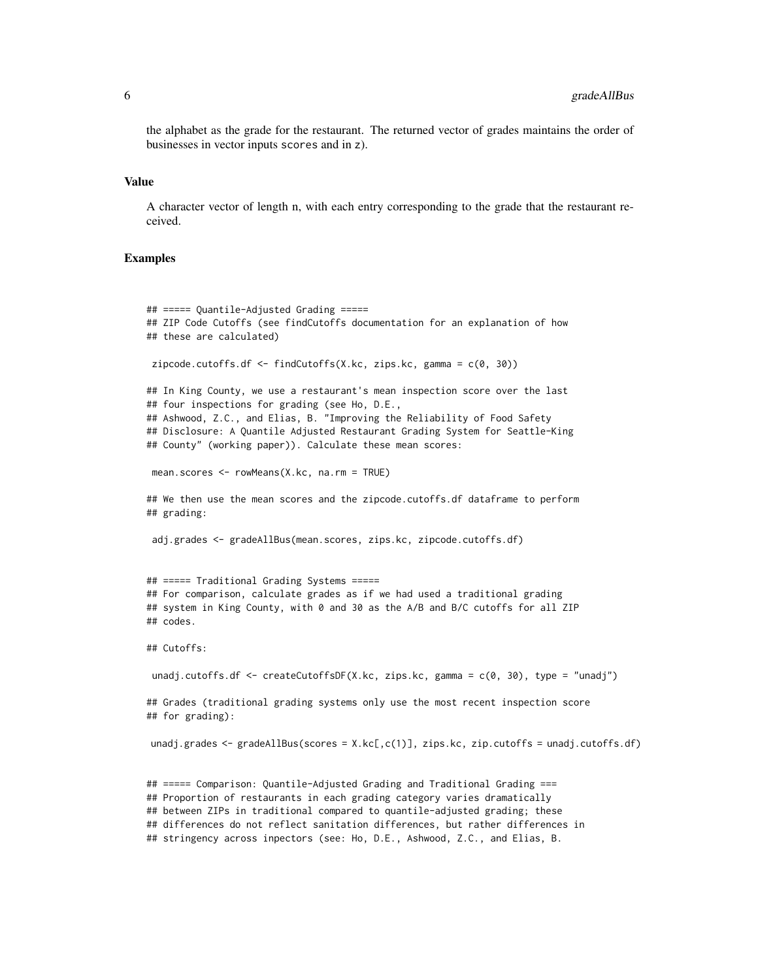the alphabet as the grade for the restaurant. The returned vector of grades maintains the order of businesses in vector inputs scores and in z).

#### Value

A character vector of length n, with each entry corresponding to the grade that the restaurant received.

#### Examples

```
## ===== Quantile-Adjusted Grading =====
## ZIP Code Cutoffs (see findCutoffs documentation for an explanation of how
## these are calculated)
zipcode.cutoffs.df <- findCutoffs(X.kc, zips.kc, gamma = c(0, 30))
## In King County, we use a restaurant's mean inspection score over the last
## four inspections for grading (see Ho, D.E.,
## Ashwood, Z.C., and Elias, B. "Improving the Reliability of Food Safety
## Disclosure: A Quantile Adjusted Restaurant Grading System for Seattle-King
## County" (working paper)). Calculate these mean scores:
mean.scores <- rowMeans(X.kc, na.rm = TRUE)
## We then use the mean scores and the zipcode.cutoffs.df dataframe to perform
## grading:
adj.grades <- gradeAllBus(mean.scores, zips.kc, zipcode.cutoffs.df)
## ===== Traditional Grading Systems =====
## For comparison, calculate grades as if we had used a traditional grading
## system in King County, with 0 and 30 as the A/B and B/C cutoffs for all ZIP
## codes.
## Cutoffs:
unadj.cutoffs.df \leq createCutoffsDF(X.kc, zips.kc, gamma = c(0, 30), type = "unadj")
## Grades (traditional grading systems only use the most recent inspection score
## for grading):
unadj.grades <- gradeAllBus(scores = X.kc[,c(1)], zips.kc, zip.cutoffs = unadj.cutoffs.df)
## ===== Comparison: Quantile-Adjusted Grading and Traditional Grading ===
## Proportion of restaurants in each grading category varies dramatically
```
## between ZIPs in traditional compared to quantile-adjusted grading; these

## differences do not reflect sanitation differences, but rather differences in

## stringency across inpectors (see: Ho, D.E., Ashwood, Z.C., and Elias, B.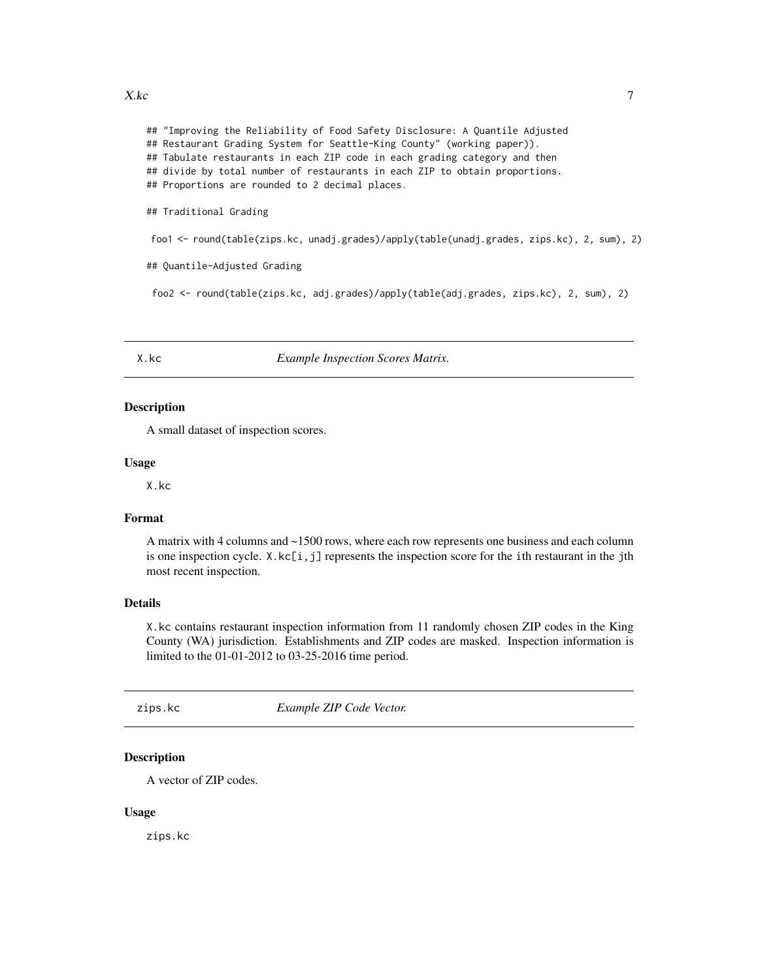#### <span id="page-6-0"></span> $X.kc$  7

## "Improving the Reliability of Food Safety Disclosure: A Quantile Adjusted ## Restaurant Grading System for Seattle-King County" (working paper)). ## Tabulate restaurants in each ZIP code in each grading category and then ## divide by total number of restaurants in each ZIP to obtain proportions. ## Proportions are rounded to 2 decimal places.

## Traditional Grading

foo1 <- round(table(zips.kc, unadj.grades)/apply(table(unadj.grades, zips.kc), 2, sum), 2)

## Quantile-Adjusted Grading

foo2 <- round(table(zips.kc, adj.grades)/apply(table(adj.grades, zips.kc), 2, sum), 2)

X.kc *Example Inspection Scores Matrix.*

### Description

A small dataset of inspection scores.

#### Usage

X.kc

#### Format

A matrix with 4 columns and ~1500 rows, where each row represents one business and each column is one inspection cycle.  $X \cdot k[c[i,j]$  represents the inspection score for the ith restaurant in the jth most recent inspection.

#### Details

X.kc contains restaurant inspection information from 11 randomly chosen ZIP codes in the King County (WA) jurisdiction. Establishments and ZIP codes are masked. Inspection information is limited to the 01-01-2012 to 03-25-2016 time period.

zips.kc *Example ZIP Code Vector.*

#### **Description**

A vector of ZIP codes.

#### Usage

zips.kc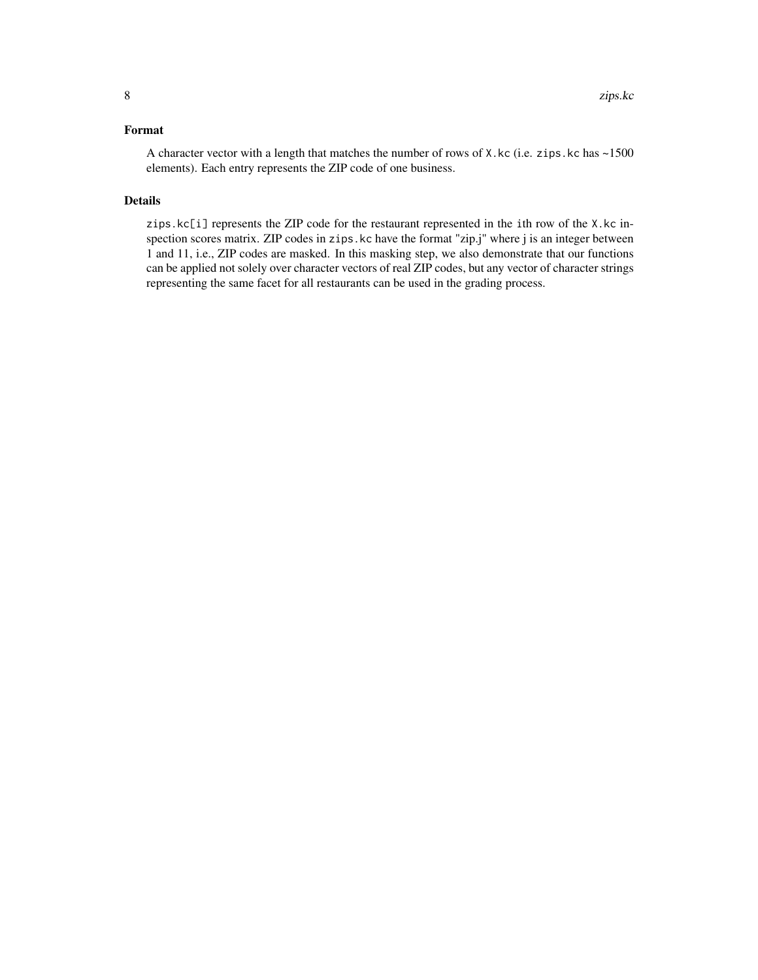#### Format

A character vector with a length that matches the number of rows of X.kc (i.e. zips.kc has ~1500 elements). Each entry represents the ZIP code of one business.

#### Details

zips.kc[i] represents the ZIP code for the restaurant represented in the ith row of the X.kc inspection scores matrix. ZIP codes in zips.kc have the format "zip.j" where j is an integer between 1 and 11, i.e., ZIP codes are masked. In this masking step, we also demonstrate that our functions can be applied not solely over character vectors of real ZIP codes, but any vector of character strings representing the same facet for all restaurants can be used in the grading process.